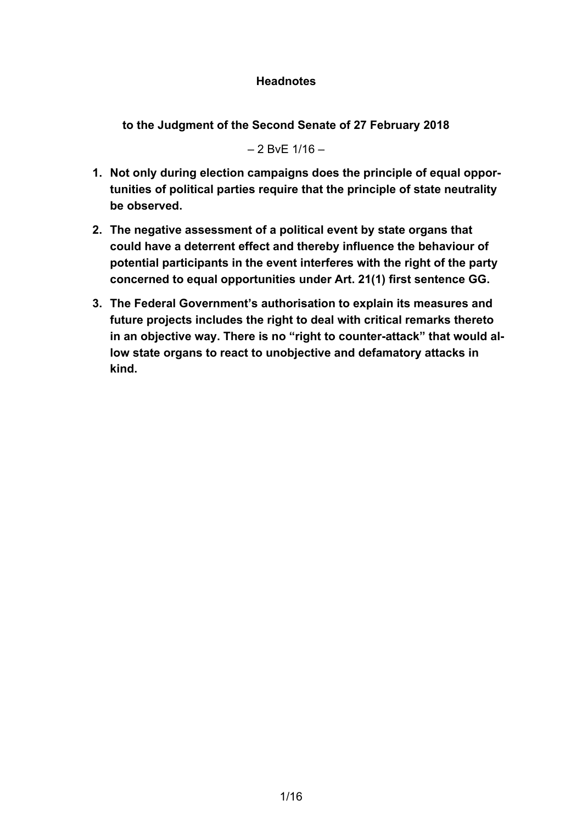## **Headnotes**

**to the Judgment of the Second Senate of 27 February 2018**

 $-2$  BvF  $1/16 -$ 

- **1. Not only during election campaigns does the principle of equal opportunities of political parties require that the principle of state neutrality be observed.**
- **2. The negative assessment of a political event by state organs that could have a deterrent effect and thereby influence the behaviour of potential participants in the event interferes with the right of the party concerned to equal opportunities under Art. 21(1) first sentence GG.**
- **3. The Federal Government's authorisation to explain its measures and future projects includes the right to deal with critical remarks thereto in an objective way. There is no "right to counter-attack" that would allow state organs to react to unobjective and defamatory attacks in kind.**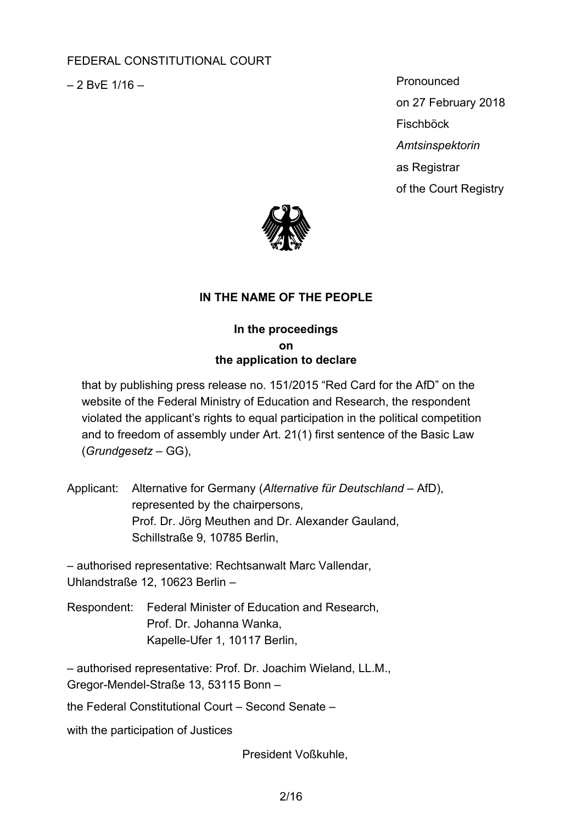# FEDERAL CONSTITUTIONAL COURT

 $-2$  BvE  $1/16 -$ 

Pronounced on 27 February 2018 **Fischböck** *Amtsinspektorin* as Registrar of the Court Registry



# **IN THE NAME OF THE PEOPLE**

## **In the proceedings on the application to declare**

that by publishing press release no. 151/2015 "Red Card for the AfD" on the website of the Federal Ministry of Education and Research, the respondent violated the applicant's rights to equal participation in the political competition and to freedom of assembly under Art. 21(1) first sentence of the Basic Law (*Grundgesetz* – GG),

Applicant: Alternative for Germany (*Alternative für Deutschland* – AfD), represented by the chairpersons, Prof. Dr. Jörg Meuthen and Dr. Alexander Gauland, Schillstraße 9, 10785 Berlin,

– authorised representative: Rechtsanwalt Marc Vallendar, Uhlandstraße 12, 10623 Berlin –

Respondent: Federal Minister of Education and Research, Prof. Dr. Johanna Wanka, Kapelle-Ufer 1, 10117 Berlin,

– authorised representative: Prof. Dr. Joachim Wieland, LL.M., Gregor-Mendel-Straße 13, 53115 Bonn –

the Federal Constitutional Court – Second Senate –

with the participation of Justices

President Voßkuhle,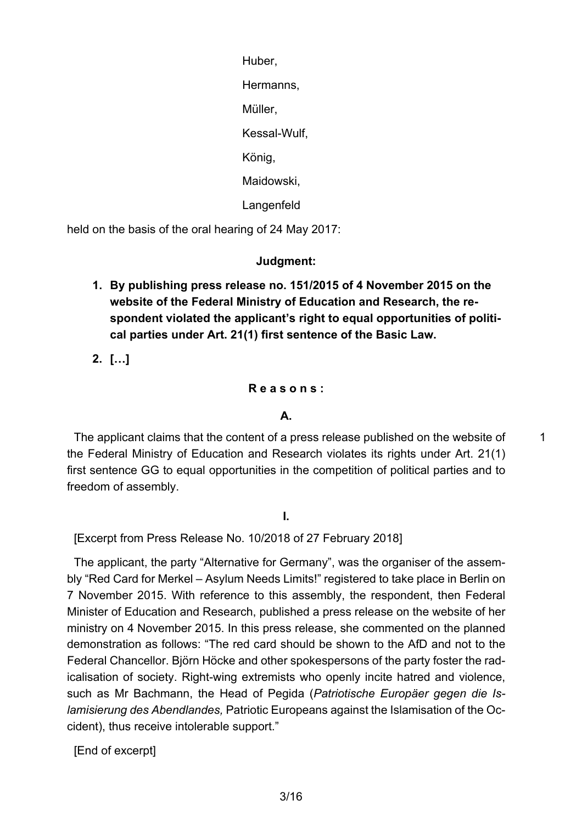Huber, Hermanns, Müller, Kessal-Wulf, König, Maidowski, Langenfeld

held on the basis of the oral hearing of 24 May 2017:

**Judgment:**

**1. By publishing press release no. 151/2015 of 4 November 2015 on the website of the Federal Ministry of Education and Research, the respondent violated the applicant's right to equal opportunities of political parties under Art. 21(1) first sentence of the Basic Law.**

**2. […]**

### **R e a s o n s :**

#### **A.**

The applicant claims that the content of a press release published on the website of the Federal Ministry of Education and Research violates its rights under Art. 21(1) first sentence GG to equal opportunities in the competition of political parties and to freedom of assembly.

1

**I.**

[Excerpt from Press Release No. 10/2018 of 27 February 2018]

The applicant, the party "Alternative for Germany", was the organiser of the assembly "Red Card for Merkel – Asylum Needs Limits!" registered to take place in Berlin on 7 November 2015. With reference to this assembly, the respondent, then Federal Minister of Education and Research, published a press release on the website of her ministry on 4 November 2015. In this press release, she commented on the planned demonstration as follows: "The red card should be shown to the AfD and not to the Federal Chancellor. Björn Höcke and other spokespersons of the party foster the radicalisation of society. Right-wing extremists who openly incite hatred and violence, such as Mr Bachmann, the Head of Pegida (*Patriotische Europäer gegen die Islamisierung des Abendlandes,* Patriotic Europeans against the Islamisation of the Occident), thus receive intolerable support."

[End of excerpt]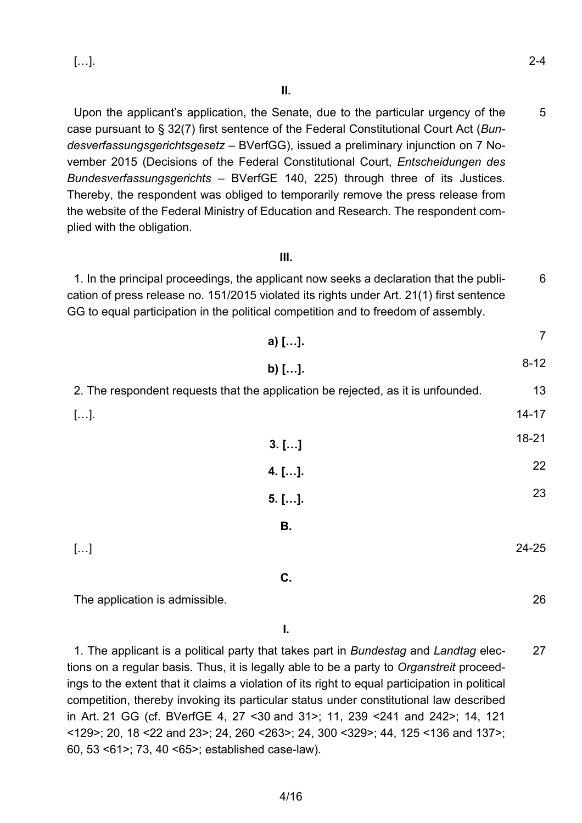26

5 Upon the applicant's application, the Senate, due to the particular urgency of the case pursuant to § 32(7) first sentence of the Federal Constitutional Court Act (*Bundesverfassungsgerichtsgesetz* – BVerfGG), issued a preliminary injunction on 7 November 2015 (Decisions of the Federal Constitutional Court, *Entscheidungen des Bundesverfassungsgerichts* – BVerfGE 140, 225) through three of its Justices. Thereby, the respondent was obliged to temporarily remove the press release from the website of the Federal Ministry of Education and Research. The respondent complied with the obligation.

### **III.**

6 1. In the principal proceedings, the applicant now seeks a declaration that the publication of press release no. 151/2015 violated its rights under Art. 21(1) first sentence GG to equal participation in the political competition and to freedom of assembly.

| a) [].                                                                           | 7         |
|----------------------------------------------------------------------------------|-----------|
| b) $[]$ .                                                                        | $8 - 12$  |
| 2. The respondent requests that the application be rejected, as it is unfounded. |           |
| $[].$                                                                            | $14 - 17$ |
| $3.$ []                                                                          | $18 - 21$ |
| $4.$ [].                                                                         | 22        |
| $5.$ [].                                                                         | 23        |
| В.                                                                               |           |
| $[]$                                                                             | 24-25     |
| C.                                                                               |           |

The application is admissible.

**I.**

27 1. The applicant is a political party that takes part in *Bundestag* and *Landtag* elections on a regular basis. Thus, it is legally able to be a party to *Organstreit* proceedings to the extent that it claims a violation of its right to equal participation in political competition, thereby invoking its particular status under constitutional law described in Art. 21 GG (cf. BVerfGE 4, 27 <30 and 31>; 11, 239 <241 and 242>; 14, 121 <129>; 20, 18 <22 and 23>; 24, 260 <263>; 24, 300 <329>; 44, 125 <136 and 137>; 60, 53 <61>; 73, 40 <65>; established case-law).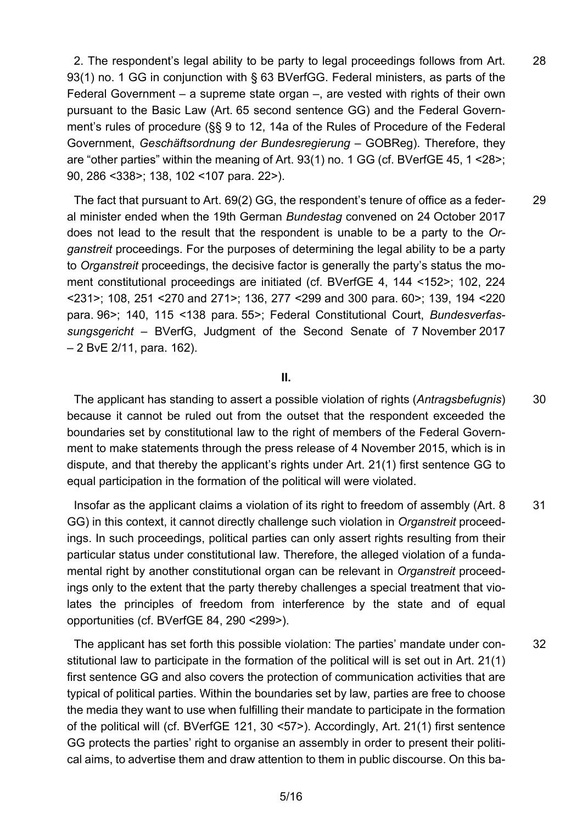28 2. The respondent's legal ability to be party to legal proceedings follows from Art. 93(1) no. 1 GG in conjunction with § 63 BVerfGG. Federal ministers, as parts of the Federal Government – a supreme state organ –, are vested with rights of their own pursuant to the Basic Law (Art. 65 second sentence GG) and the Federal Government's rules of procedure (§§ 9 to 12, 14a of the Rules of Procedure of the Federal Government, *Geschäftsordnung der Bundesregierung* – GOBReg). Therefore, they are "other parties" within the meaning of Art. 93(1) no. 1 GG (cf. BVerfGE 45, 1 <28>; 90, 286 <338>; 138, 102 <107 para. 22>).

29 The fact that pursuant to Art. 69(2) GG, the respondent's tenure of office as a federal minister ended when the 19th German *Bundestag* convened on 24 October 2017 does not lead to the result that the respondent is unable to be a party to the *Organstreit* proceedings. For the purposes of determining the legal ability to be a party to *Organstreit* proceedings, the decisive factor is generally the party's status the moment constitutional proceedings are initiated (cf. BVerfGE 4, 144 <152>; 102, 224 <231>; 108, 251 <270 and 271>; 136, 277 <299 and 300 para. 60>; 139, 194 <220 para. 96>; 140, 115 <138 para. 55>; Federal Constitutional Court, *Bundesverfassungsgericht* – BVerfG, Judgment of the Second Senate of 7 November 2017 – 2 BvE 2/11, para. 162).

#### **II.**

30 The applicant has standing to assert a possible violation of rights (*Antragsbefugnis*) because it cannot be ruled out from the outset that the respondent exceeded the boundaries set by constitutional law to the right of members of the Federal Government to make statements through the press release of 4 November 2015, which is in dispute, and that thereby the applicant's rights under Art. 21(1) first sentence GG to equal participation in the formation of the political will were violated.

31 Insofar as the applicant claims a violation of its right to freedom of assembly (Art. 8 GG) in this context, it cannot directly challenge such violation in *Organstreit* proceedings. In such proceedings, political parties can only assert rights resulting from their particular status under constitutional law. Therefore, the alleged violation of a fundamental right by another constitutional organ can be relevant in *Organstreit* proceedings only to the extent that the party thereby challenges a special treatment that violates the principles of freedom from interference by the state and of equal opportunities (cf. BVerfGE 84, 290 <299>).

32 The applicant has set forth this possible violation: The parties' mandate under constitutional law to participate in the formation of the political will is set out in Art. 21(1) first sentence GG and also covers the protection of communication activities that are typical of political parties. Within the boundaries set by law, parties are free to choose the media they want to use when fulfilling their mandate to participate in the formation of the political will (cf. BVerfGE 121, 30 <57>). Accordingly, Art. 21(1) first sentence GG protects the parties' right to organise an assembly in order to present their political aims, to advertise them and draw attention to them in public discourse. On this ba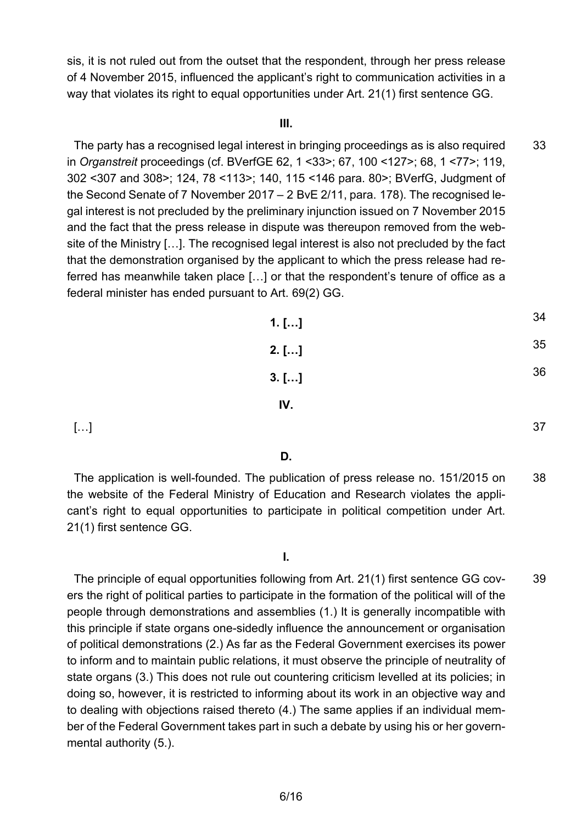sis, it is not ruled out from the outset that the respondent, through her press release of 4 November 2015, influenced the applicant's right to communication activities in a way that violates its right to equal opportunities under Art. 21(1) first sentence GG.

#### **III.**

33 The party has a recognised legal interest in bringing proceedings as is also required in *Organstreit* proceedings (cf. BVerfGE 62, 1 <33>; 67, 100 <127>; 68, 1 <77>; 119, 302 <307 and 308>; 124, 78 <113>; 140, 115 <146 para. 80>; BVerfG, Judgment of the Second Senate of 7 November 2017 – 2 BvE 2/11, para. 178). The recognised legal interest is not precluded by the preliminary injunction issued on 7 November 2015 and the fact that the press release in dispute was thereupon removed from the website of the Ministry […]. The recognised legal interest is also not precluded by the fact that the demonstration organised by the applicant to which the press release had referred has meanwhile taken place […] or that the respondent's tenure of office as a federal minister has ended pursuant to Art. 69(2) GG.

| $1.$ [] | 34 |
|---------|----|
| $2.$ [] | 35 |
| $3.$ [] | 36 |
| IV.     |    |

37

39

[…]

**D.**

38 The application is well-founded. The publication of press release no. 151/2015 on the website of the Federal Ministry of Education and Research violates the applicant's right to equal opportunities to participate in political competition under Art. 21(1) first sentence GG.

The principle of equal opportunities following from Art. 21(1) first sentence GG covers the right of political parties to participate in the formation of the political will of the people through demonstrations and assemblies (1.) It is generally incompatible with this principle if state organs one-sidedly influence the announcement or organisation of political demonstrations (2.) As far as the Federal Government exercises its power to inform and to maintain public relations, it must observe the principle of neutrality of state organs (3.) This does not rule out countering criticism levelled at its policies; in doing so, however, it is restricted to informing about its work in an objective way and to dealing with objections raised thereto (4.) The same applies if an individual member of the Federal Government takes part in such a debate by using his or her governmental authority (5.).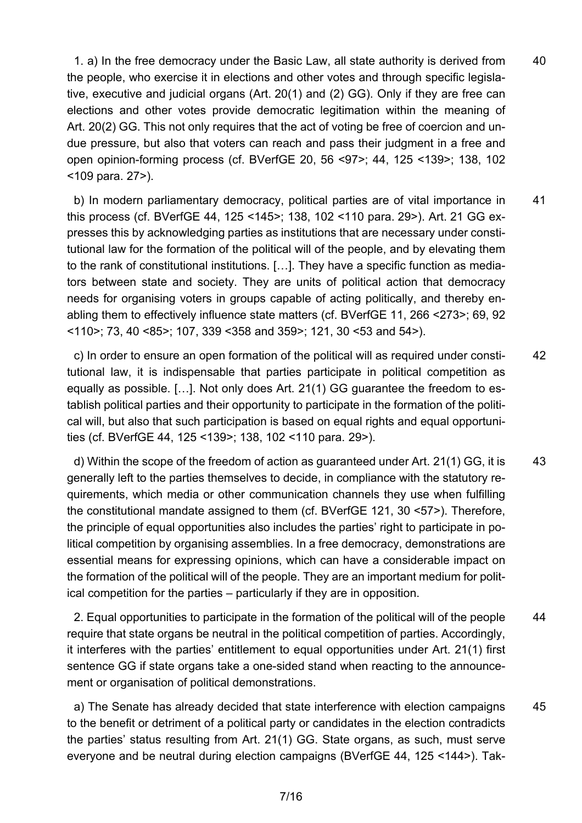40 1. a) In the free democracy under the Basic Law, all state authority is derived from the people, who exercise it in elections and other votes and through specific legislative, executive and judicial organs (Art. 20(1) and (2) GG). Only if they are free can elections and other votes provide democratic legitimation within the meaning of Art. 20(2) GG. This not only requires that the act of voting be free of coercion and undue pressure, but also that voters can reach and pass their judgment in a free and open opinion-forming process (cf. BVerfGE 20, 56 <97>; 44, 125 <139>; 138, 102 <109 para. 27>).

41 b) In modern parliamentary democracy, political parties are of vital importance in this process (cf. BVerfGE 44, 125 <145>; 138, 102 <110 para. 29>). Art. 21 GG expresses this by acknowledging parties as institutions that are necessary under constitutional law for the formation of the political will of the people, and by elevating them to the rank of constitutional institutions. […]. They have a specific function as mediators between state and society. They are units of political action that democracy needs for organising voters in groups capable of acting politically, and thereby enabling them to effectively influence state matters (cf. BVerfGE 11, 266 <273>; 69, 92  $\leq$  110>; 73, 40  $\leq$ 85>; 107, 339  $\leq$ 358 and 359>; 121, 30  $\leq$ 53 and 54>).

42 c) In order to ensure an open formation of the political will as required under constitutional law, it is indispensable that parties participate in political competition as equally as possible. […]. Not only does Art. 21(1) GG guarantee the freedom to establish political parties and their opportunity to participate in the formation of the political will, but also that such participation is based on equal rights and equal opportunities (cf. BVerfGE 44, 125 <139>; 138, 102 <110 para. 29>).

43 d) Within the scope of the freedom of action as guaranteed under Art. 21(1) GG, it is generally left to the parties themselves to decide, in compliance with the statutory requirements, which media or other communication channels they use when fulfilling the constitutional mandate assigned to them (cf. BVerfGE 121, 30 <57>). Therefore, the principle of equal opportunities also includes the parties' right to participate in political competition by organising assemblies. In a free democracy, demonstrations are essential means for expressing opinions, which can have a considerable impact on the formation of the political will of the people. They are an important medium for political competition for the parties – particularly if they are in opposition.

44 2. Equal opportunities to participate in the formation of the political will of the people require that state organs be neutral in the political competition of parties. Accordingly, it interferes with the parties' entitlement to equal opportunities under Art. 21(1) first sentence GG if state organs take a one-sided stand when reacting to the announcement or organisation of political demonstrations.

45 a) The Senate has already decided that state interference with election campaigns to the benefit or detriment of a political party or candidates in the election contradicts the parties' status resulting from Art. 21(1) GG. State organs, as such, must serve everyone and be neutral during election campaigns (BVerfGE 44, 125 <144>). Tak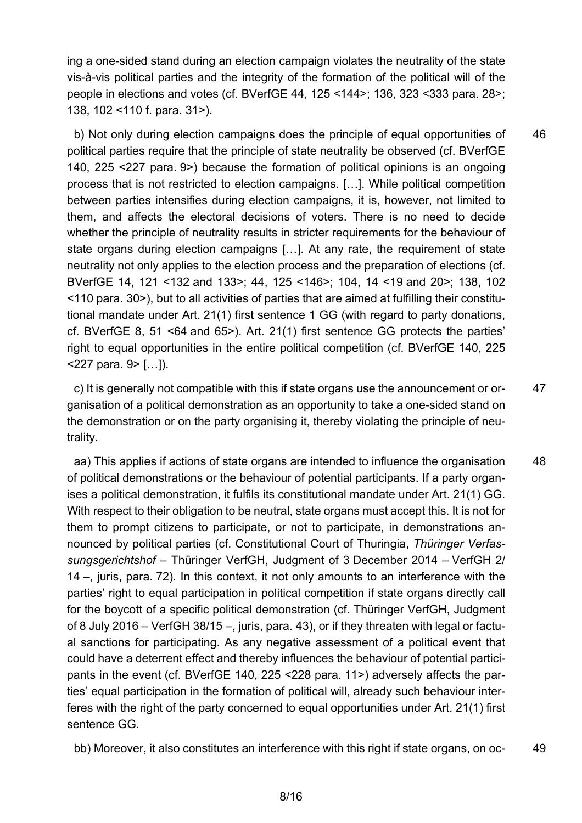ing a one-sided stand during an election campaign violates the neutrality of the state vis-à-vis political parties and the integrity of the formation of the political will of the people in elections and votes (cf. BVerfGE 44, 125 <144>; 136, 323 <333 para. 28>; 138, 102 <110 f. para. 31>).

46 b) Not only during election campaigns does the principle of equal opportunities of political parties require that the principle of state neutrality be observed (cf. BVerfGE 140, 225 <227 para. 9>) because the formation of political opinions is an ongoing process that is not restricted to election campaigns. […]. While political competition between parties intensifies during election campaigns, it is, however, not limited to them, and affects the electoral decisions of voters. There is no need to decide whether the principle of neutrality results in stricter requirements for the behaviour of state organs during election campaigns […]. At any rate, the requirement of state neutrality not only applies to the election process and the preparation of elections (cf. BVerfGE 14, 121 <132 and 133>; 44, 125 <146>; 104, 14 <19 and 20>; 138, 102 <110 para. 30>), but to all activities of parties that are aimed at fulfilling their constitutional mandate under Art. 21(1) first sentence 1 GG (with regard to party donations, cf. BVerfGE 8, 51 <64 and 65>). Art. 21(1) first sentence GG protects the parties' right to equal opportunities in the entire political competition (cf. BVerfGE 140, 225  $227$  para. 9> [...]).

47 c) It is generally not compatible with this if state organs use the announcement or organisation of a political demonstration as an opportunity to take a one-sided stand on the demonstration or on the party organising it, thereby violating the principle of neutrality.

48 aa) This applies if actions of state organs are intended to influence the organisation of political demonstrations or the behaviour of potential participants. If a party organises a political demonstration, it fulfils its constitutional mandate under Art. 21(1) GG. With respect to their obligation to be neutral, state organs must accept this. It is not for them to prompt citizens to participate, or not to participate, in demonstrations announced by political parties (cf. Constitutional Court of Thuringia, *Thüringer Verfassungsgerichtshof* – Thüringer VerfGH, Judgment of 3 December 2014 – VerfGH 2/ 14 –, juris, para. 72). In this context, it not only amounts to an interference with the parties' right to equal participation in political competition if state organs directly call for the boycott of a specific political demonstration (cf. Thüringer VerfGH, Judgment of 8 July 2016 – VerfGH 38/15 –, juris, para. 43), or if they threaten with legal or factual sanctions for participating. As any negative assessment of a political event that could have a deterrent effect and thereby influences the behaviour of potential participants in the event (cf. BVerfGE 140, 225 <228 para. 11>) adversely affects the parties' equal participation in the formation of political will, already such behaviour interferes with the right of the party concerned to equal opportunities under Art. 21(1) first sentence GG.

49 bb) Moreover, it also constitutes an interference with this right if state organs, on oc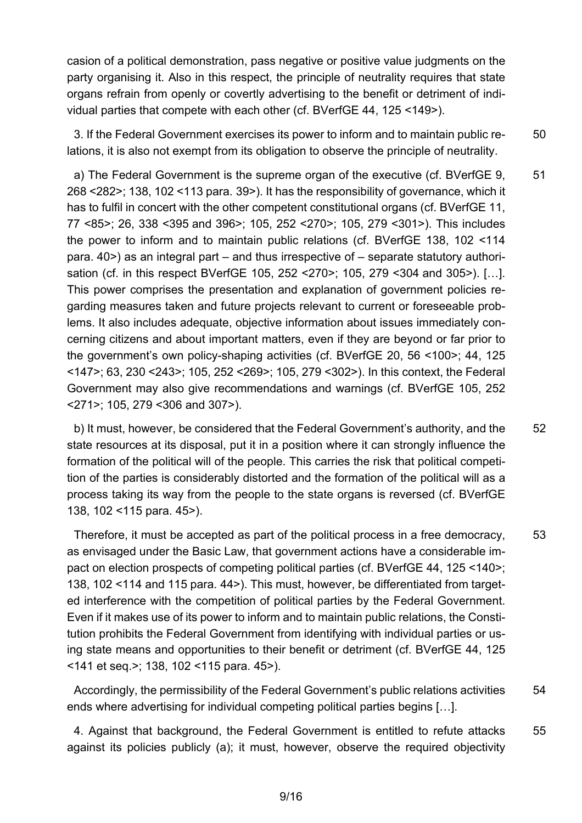casion of a political demonstration, pass negative or positive value judgments on the party organising it. Also in this respect, the principle of neutrality requires that state organs refrain from openly or covertly advertising to the benefit or detriment of individual parties that compete with each other (cf. BVerfGE 44, 125 <149>).

50 3. If the Federal Government exercises its power to inform and to maintain public relations, it is also not exempt from its obligation to observe the principle of neutrality.

51 a) The Federal Government is the supreme organ of the executive (cf. BVerfGE 9, 268 <282>; 138, 102 <113 para. 39>). It has the responsibility of governance, which it has to fulfil in concert with the other competent constitutional organs (cf. BVerfGE 11, 77 <85>; 26, 338 <395 and 396>; 105, 252 <270>; 105, 279 <301>). This includes the power to inform and to maintain public relations (cf. BVerfGE 138, 102 <114 para. 40>) as an integral part – and thus irrespective of – separate statutory authorisation (cf. in this respect BVerfGE 105, 252 <270>; 105, 279 <304 and 305>). […]. This power comprises the presentation and explanation of government policies regarding measures taken and future projects relevant to current or foreseeable problems. It also includes adequate, objective information about issues immediately concerning citizens and about important matters, even if they are beyond or far prior to the government's own policy-shaping activities (cf. BVerfGE 20, 56 <100>; 44, 125 <147>; 63, 230 <243>; 105, 252 <269>; 105, 279 <302>). In this context, the Federal Government may also give recommendations and warnings (cf. BVerfGE 105, 252 <271>; 105, 279 <306 and 307>).

52 b) It must, however, be considered that the Federal Government's authority, and the state resources at its disposal, put it in a position where it can strongly influence the formation of the political will of the people. This carries the risk that political competition of the parties is considerably distorted and the formation of the political will as a process taking its way from the people to the state organs is reversed (cf. BVerfGE 138, 102 <115 para. 45>).

53 Therefore, it must be accepted as part of the political process in a free democracy, as envisaged under the Basic Law, that government actions have a considerable impact on election prospects of competing political parties (cf. BVerfGE 44, 125 <140>; 138, 102 <114 and 115 para. 44>). This must, however, be differentiated from targeted interference with the competition of political parties by the Federal Government. Even if it makes use of its power to inform and to maintain public relations, the Constitution prohibits the Federal Government from identifying with individual parties or using state means and opportunities to their benefit or detriment (cf. BVerfGE 44, 125 <141 et seq.>; 138, 102 <115 para. 45>).

54 Accordingly, the permissibility of the Federal Government's public relations activities ends where advertising for individual competing political parties begins […].

55 4. Against that background, the Federal Government is entitled to refute attacks against its policies publicly (a); it must, however, observe the required objectivity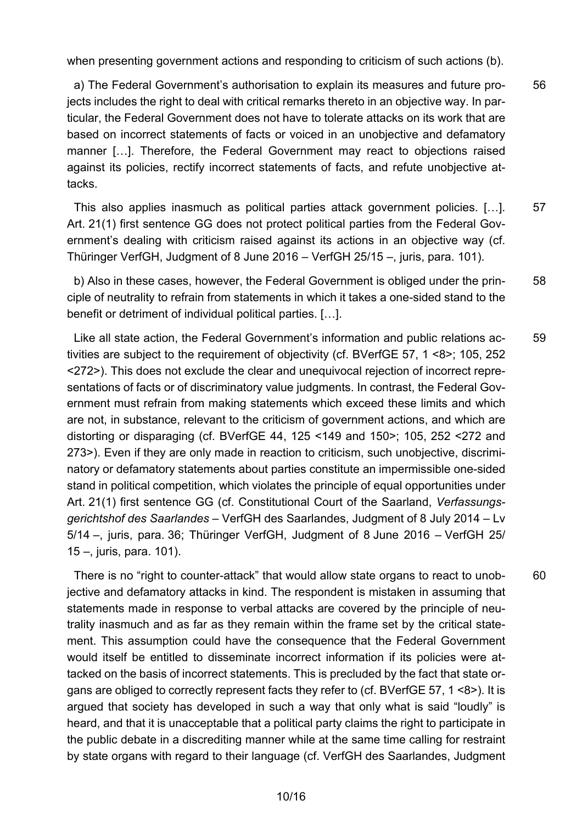when presenting government actions and responding to criticism of such actions (b).

56 a) The Federal Government's authorisation to explain its measures and future projects includes the right to deal with critical remarks thereto in an objective way. In particular, the Federal Government does not have to tolerate attacks on its work that are based on incorrect statements of facts or voiced in an unobjective and defamatory manner […]. Therefore, the Federal Government may react to objections raised against its policies, rectify incorrect statements of facts, and refute unobjective attacks.

57 This also applies inasmuch as political parties attack government policies. […]. Art. 21(1) first sentence GG does not protect political parties from the Federal Government's dealing with criticism raised against its actions in an objective way (cf. Thüringer VerfGH, Judgment of 8 June 2016 – VerfGH 25/15 –, juris, para. 101).

58 b) Also in these cases, however, the Federal Government is obliged under the principle of neutrality to refrain from statements in which it takes a one-sided stand to the benefit or detriment of individual political parties. […].

59 Like all state action, the Federal Government's information and public relations activities are subject to the requirement of objectivity (cf. BVerfGE 57, 1 <8>; 105, 252 <272>). This does not exclude the clear and unequivocal rejection of incorrect representations of facts or of discriminatory value judgments. In contrast, the Federal Government must refrain from making statements which exceed these limits and which are not, in substance, relevant to the criticism of government actions, and which are distorting or disparaging (cf. BVerfGE 44, 125 <149 and 150>; 105, 252 <272 and 273>). Even if they are only made in reaction to criticism, such unobjective, discriminatory or defamatory statements about parties constitute an impermissible one-sided stand in political competition, which violates the principle of equal opportunities under Art. 21(1) first sentence GG (cf. Constitutional Court of the Saarland, *Verfassungsgerichtshof des Saarlandes* – VerfGH des Saarlandes, Judgment of 8 July 2014 – Lv 5/14 –, juris, para. 36; Thüringer VerfGH, Judgment of 8 June 2016 – VerfGH 25/ 15 –, juris, para. 101).

60

There is no "right to counter-attack" that would allow state organs to react to unobjective and defamatory attacks in kind. The respondent is mistaken in assuming that statements made in response to verbal attacks are covered by the principle of neutrality inasmuch and as far as they remain within the frame set by the critical statement. This assumption could have the consequence that the Federal Government would itself be entitled to disseminate incorrect information if its policies were attacked on the basis of incorrect statements. This is precluded by the fact that state organs are obliged to correctly represent facts they refer to (cf. BVerfGE 57, 1 <8>). It is argued that society has developed in such a way that only what is said "loudly" is heard, and that it is unacceptable that a political party claims the right to participate in the public debate in a discrediting manner while at the same time calling for restraint by state organs with regard to their language (cf. VerfGH des Saarlandes, Judgment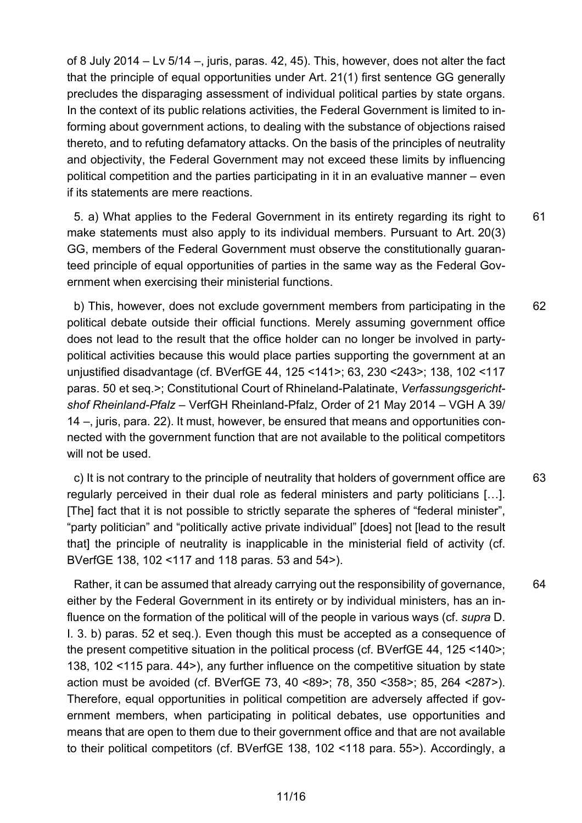of 8 July 2014 – Lv 5/14 –, juris, paras. 42, 45). This, however, does not alter the fact that the principle of equal opportunities under Art. 21(1) first sentence GG generally precludes the disparaging assessment of individual political parties by state organs. In the context of its public relations activities, the Federal Government is limited to informing about government actions, to dealing with the substance of objections raised thereto, and to refuting defamatory attacks. On the basis of the principles of neutrality and objectivity, the Federal Government may not exceed these limits by influencing political competition and the parties participating in it in an evaluative manner – even if its statements are mere reactions.

61 5. a) What applies to the Federal Government in its entirety regarding its right to make statements must also apply to its individual members. Pursuant to Art. 20(3) GG, members of the Federal Government must observe the constitutionally guaranteed principle of equal opportunities of parties in the same way as the Federal Government when exercising their ministerial functions.

62 b) This, however, does not exclude government members from participating in the political debate outside their official functions. Merely assuming government office does not lead to the result that the office holder can no longer be involved in partypolitical activities because this would place parties supporting the government at an unjustified disadvantage (cf. BVerfGE 44, 125 <141>; 63, 230 <243>; 138, 102 <117 paras. 50 et seq.>; Constitutional Court of Rhineland-Palatinate, *Verfassungsgerichtshof Rheinland-Pfalz* – VerfGH Rheinland-Pfalz, Order of 21 May 2014 – VGH A 39/ 14 –, juris, para. 22). It must, however, be ensured that means and opportunities connected with the government function that are not available to the political competitors will not be used.

63 c) It is not contrary to the principle of neutrality that holders of government office are regularly perceived in their dual role as federal ministers and party politicians […]. [The] fact that it is not possible to strictly separate the spheres of "federal minister", "party politician" and "politically active private individual" [does] not [lead to the result that] the principle of neutrality is inapplicable in the ministerial field of activity (cf. BVerfGE 138, 102 <117 and 118 paras. 53 and 54>).

64

Rather, it can be assumed that already carrying out the responsibility of governance, either by the Federal Government in its entirety or by individual ministers, has an influence on the formation of the political will of the people in various ways (cf. *supra* D. I. 3. b) paras. 52 et seq.). Even though this must be accepted as a consequence of the present competitive situation in the political process (cf. BVerfGE 44, 125 <140>; 138, 102 <115 para. 44>), any further influence on the competitive situation by state action must be avoided (cf. BVerfGE 73, 40 <89>; 78, 350 <358>; 85, 264 <287>). Therefore, equal opportunities in political competition are adversely affected if government members, when participating in political debates, use opportunities and means that are open to them due to their government office and that are not available to their political competitors (cf. BVerfGE 138, 102 <118 para. 55>). Accordingly, a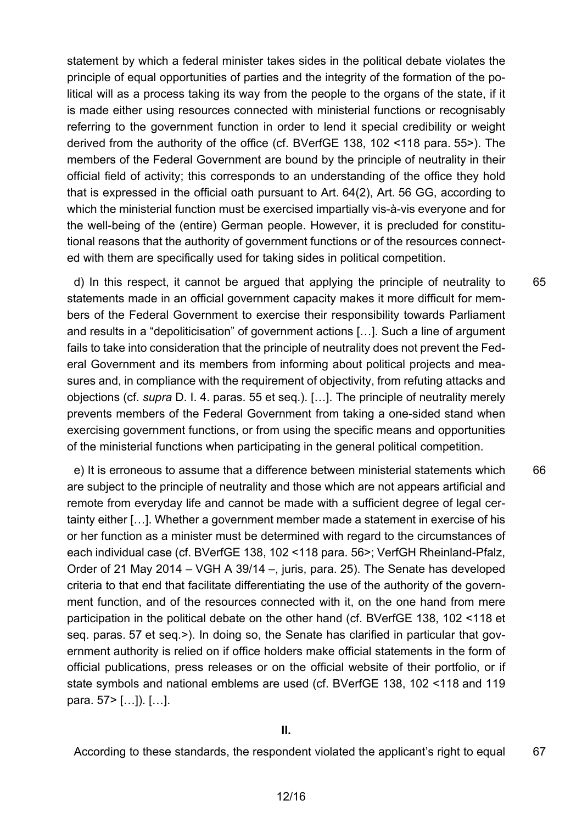statement by which a federal minister takes sides in the political debate violates the principle of equal opportunities of parties and the integrity of the formation of the political will as a process taking its way from the people to the organs of the state, if it is made either using resources connected with ministerial functions or recognisably referring to the government function in order to lend it special credibility or weight derived from the authority of the office (cf. BVerfGE 138, 102 <118 para. 55>). The members of the Federal Government are bound by the principle of neutrality in their official field of activity; this corresponds to an understanding of the office they hold that is expressed in the official oath pursuant to Art. 64(2), Art. 56 GG, according to which the ministerial function must be exercised impartially vis-à-vis everyone and for the well-being of the (entire) German people. However, it is precluded for constitutional reasons that the authority of government functions or of the resources connected with them are specifically used for taking sides in political competition.

d) In this respect, it cannot be argued that applying the principle of neutrality to statements made in an official government capacity makes it more difficult for members of the Federal Government to exercise their responsibility towards Parliament and results in a "depoliticisation" of government actions […]. Such a line of argument fails to take into consideration that the principle of neutrality does not prevent the Federal Government and its members from informing about political projects and measures and, in compliance with the requirement of objectivity, from refuting attacks and objections (cf. *supra* D. I. 4. paras. 55 et seq.). […]. The principle of neutrality merely prevents members of the Federal Government from taking a one-sided stand when exercising government functions, or from using the specific means and opportunities of the ministerial functions when participating in the general political competition.

65

66 e) It is erroneous to assume that a difference between ministerial statements which are subject to the principle of neutrality and those which are not appears artificial and remote from everyday life and cannot be made with a sufficient degree of legal certainty either […]. Whether a government member made a statement in exercise of his or her function as a minister must be determined with regard to the circumstances of each individual case (cf. BVerfGE 138, 102 <118 para. 56>; VerfGH Rheinland-Pfalz, Order of 21 May 2014 – VGH A 39/14 –, juris, para. 25). The Senate has developed criteria to that end that facilitate differentiating the use of the authority of the government function, and of the resources connected with it, on the one hand from mere participation in the political debate on the other hand (cf. BVerfGE 138, 102 <118 et seq. paras. 57 et seq.>). In doing so, the Senate has clarified in particular that government authority is relied on if office holders make official statements in the form of official publications, press releases or on the official website of their portfolio, or if state symbols and national emblems are used (cf. BVerfGE 138, 102 <118 and 119 para. 57> […]). […].

67 According to these standards, the respondent violated the applicant's right to equal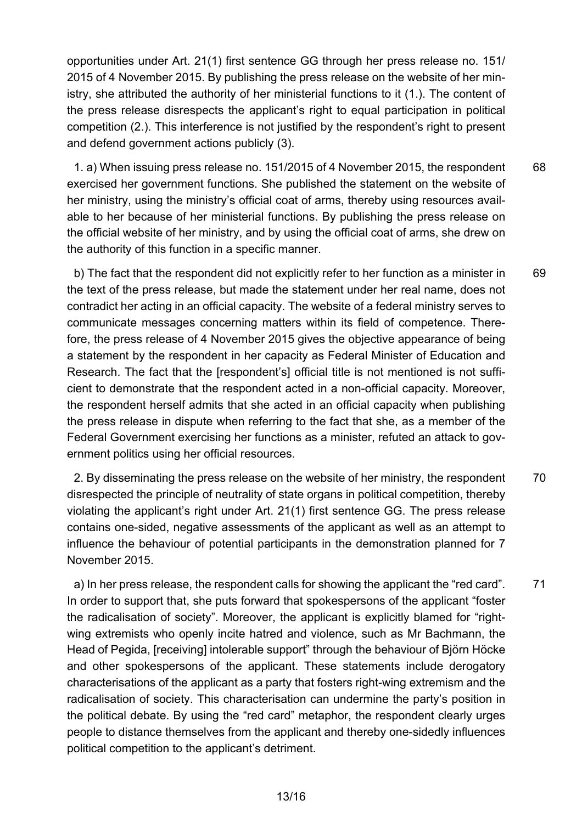opportunities under Art. 21(1) first sentence GG through her press release no. 151/ 2015 of 4 November 2015. By publishing the press release on the website of her ministry, she attributed the authority of her ministerial functions to it (1.). The content of the press release disrespects the applicant's right to equal participation in political competition (2.). This interference is not justified by the respondent's right to present and defend government actions publicly (3).

68 1. a) When issuing press release no. 151/2015 of 4 November 2015, the respondent exercised her government functions. She published the statement on the website of her ministry, using the ministry's official coat of arms, thereby using resources available to her because of her ministerial functions. By publishing the press release on the official website of her ministry, and by using the official coat of arms, she drew on the authority of this function in a specific manner.

69 b) The fact that the respondent did not explicitly refer to her function as a minister in the text of the press release, but made the statement under her real name, does not contradict her acting in an official capacity. The website of a federal ministry serves to communicate messages concerning matters within its field of competence. Therefore, the press release of 4 November 2015 gives the objective appearance of being a statement by the respondent in her capacity as Federal Minister of Education and Research. The fact that the [respondent's] official title is not mentioned is not sufficient to demonstrate that the respondent acted in a non-official capacity. Moreover, the respondent herself admits that she acted in an official capacity when publishing the press release in dispute when referring to the fact that she, as a member of the Federal Government exercising her functions as a minister, refuted an attack to government politics using her official resources.

70 2. By disseminating the press release on the website of her ministry, the respondent disrespected the principle of neutrality of state organs in political competition, thereby violating the applicant's right under Art. 21(1) first sentence GG. The press release contains one-sided, negative assessments of the applicant as well as an attempt to influence the behaviour of potential participants in the demonstration planned for 7 November 2015.

71 a) In her press release, the respondent calls for showing the applicant the "red card". In order to support that, she puts forward that spokespersons of the applicant "foster the radicalisation of society". Moreover, the applicant is explicitly blamed for "rightwing extremists who openly incite hatred and violence, such as Mr Bachmann, the Head of Pegida, [receiving] intolerable support" through the behaviour of Björn Höcke and other spokespersons of the applicant. These statements include derogatory characterisations of the applicant as a party that fosters right-wing extremism and the radicalisation of society. This characterisation can undermine the party's position in the political debate. By using the "red card" metaphor, the respondent clearly urges people to distance themselves from the applicant and thereby one-sidedly influences political competition to the applicant's detriment.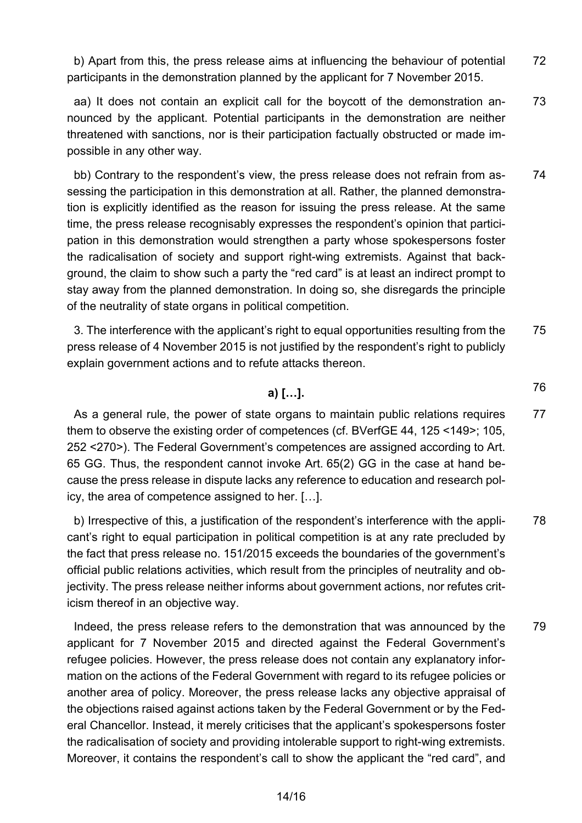72 b) Apart from this, the press release aims at influencing the behaviour of potential participants in the demonstration planned by the applicant for 7 November 2015.

73 aa) It does not contain an explicit call for the boycott of the demonstration announced by the applicant. Potential participants in the demonstration are neither threatened with sanctions, nor is their participation factually obstructed or made impossible in any other way.

74 bb) Contrary to the respondent's view, the press release does not refrain from assessing the participation in this demonstration at all. Rather, the planned demonstration is explicitly identified as the reason for issuing the press release. At the same time, the press release recognisably expresses the respondent's opinion that participation in this demonstration would strengthen a party whose spokespersons foster the radicalisation of society and support right-wing extremists. Against that background, the claim to show such a party the "red card" is at least an indirect prompt to stay away from the planned demonstration. In doing so, she disregards the principle of the neutrality of state organs in political competition.

75 3. The interference with the applicant's right to equal opportunities resulting from the press release of 4 November 2015 is not justified by the respondent's right to publicly explain government actions and to refute attacks thereon.

76

### **a) […].**

77 As a general rule, the power of state organs to maintain public relations requires them to observe the existing order of competences (cf. BVerfGE 44, 125 <149>; 105, 252 <270>). The Federal Government's competences are assigned according to Art. 65 GG. Thus, the respondent cannot invoke Art. 65(2) GG in the case at hand because the press release in dispute lacks any reference to education and research policy, the area of competence assigned to her. […].

78 b) Irrespective of this, a justification of the respondent's interference with the applicant's right to equal participation in political competition is at any rate precluded by the fact that press release no. 151/2015 exceeds the boundaries of the government's official public relations activities, which result from the principles of neutrality and objectivity. The press release neither informs about government actions, nor refutes criticism thereof in an objective way.

79 Indeed, the press release refers to the demonstration that was announced by the applicant for 7 November 2015 and directed against the Federal Government's refugee policies. However, the press release does not contain any explanatory information on the actions of the Federal Government with regard to its refugee policies or another area of policy. Moreover, the press release lacks any objective appraisal of the objections raised against actions taken by the Federal Government or by the Federal Chancellor. Instead, it merely criticises that the applicant's spokespersons foster the radicalisation of society and providing intolerable support to right-wing extremists. Moreover, it contains the respondent's call to show the applicant the "red card", and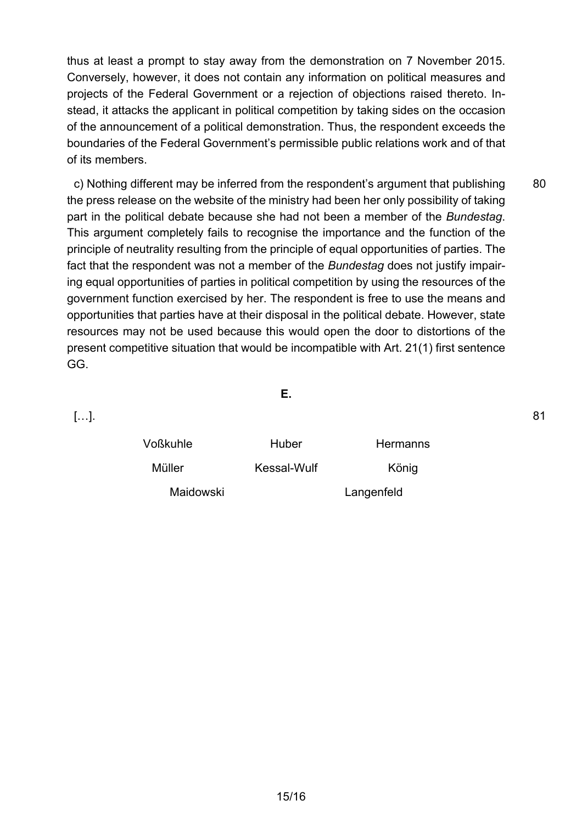thus at least a prompt to stay away from the demonstration on 7 November 2015. Conversely, however, it does not contain any information on political measures and projects of the Federal Government or a rejection of objections raised thereto. Instead, it attacks the applicant in political competition by taking sides on the occasion of the announcement of a political demonstration. Thus, the respondent exceeds the boundaries of the Federal Government's permissible public relations work and of that of its members.

80 c) Nothing different may be inferred from the respondent's argument that publishing the press release on the website of the ministry had been her only possibility of taking part in the political debate because she had not been a member of the *Bundestag*. This argument completely fails to recognise the importance and the function of the principle of neutrality resulting from the principle of equal opportunities of parties. The fact that the respondent was not a member of the *Bundestag* does not justify impairing equal opportunities of parties in political competition by using the resources of the government function exercised by her. The respondent is free to use the means and opportunities that parties have at their disposal in the political debate. However, state resources may not be used because this would open the door to distortions of the present competitive situation that would be incompatible with Art. 21(1) first sentence GG.

**E.**

[…].

| <b>Voßkuhle</b> | Huber       | <b>Hermanns</b> |
|-----------------|-------------|-----------------|
| Müller          | Kessal-Wulf | König           |
| Maidowski       |             | Langenfeld      |

81